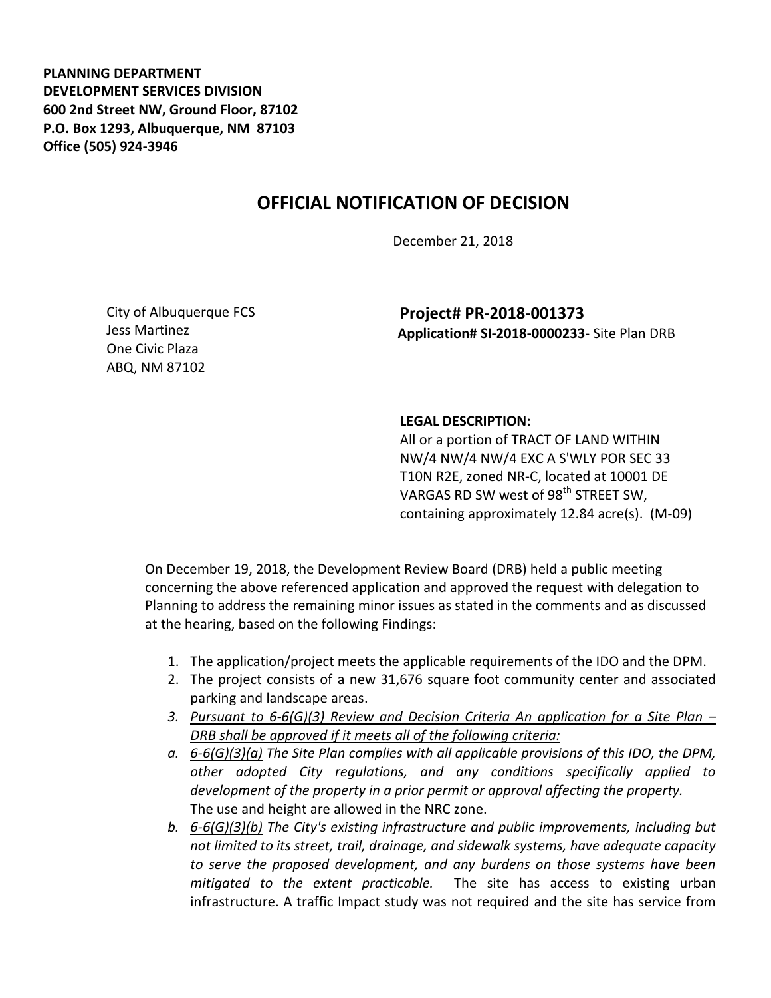**PLANNING DEPARTMENT DEVELOPMENT SERVICES DIVISION 600 2nd Street NW, Ground Floor, 87102 P.O. Box 1293, Albuquerque, NM 87103 Office (505) 924-3946** 

## **OFFICIAL NOTIFICATION OF DECISION**

December 21, 2018

City of Albuquerque FCS Jess Martinez One Civic Plaza ABQ, NM 87102

**Project# PR-2018-001373 Application# SI-2018-0000233**- Site Plan DRB

## **LEGAL DESCRIPTION:**

All or a portion of TRACT OF LAND WITHIN NW/4 NW/4 NW/4 EXC A S'WLY POR SEC 33 T10N R2E, zoned NR-C, located at 10001 DE VARGAS RD SW west of 98<sup>th</sup> STREET SW, containing approximately 12.84 acre(s). (M-09)

On December 19, 2018, the Development Review Board (DRB) held a public meeting concerning the above referenced application and approved the request with delegation to Planning to address the remaining minor issues as stated in the comments and as discussed at the hearing, based on the following Findings:

- 1. The application/project meets the applicable requirements of the IDO and the DPM.
- 2. The project consists of a new 31,676 square foot community center and associated parking and landscape areas.
- *3. Pursuant to 6-6(G)(3) Review and Decision Criteria An application for a Site Plan – DRB shall be approved if it meets all of the following criteria:*
- *a. 6-6(G)(3)(a) The Site Plan complies with all applicable provisions of this IDO, the DPM, other adopted City regulations, and any conditions specifically applied to development of the property in a prior permit or approval affecting the property.*  The use and height are allowed in the NRC zone.
- *b. 6-6(G)(3)(b) The City's existing infrastructure and public improvements, including but not limited to its street, trail, drainage, and sidewalk systems, have adequate capacity to serve the proposed development, and any burdens on those systems have been mitigated to the extent practicable.* The site has access to existing urban infrastructure. A traffic Impact study was not required and the site has service from